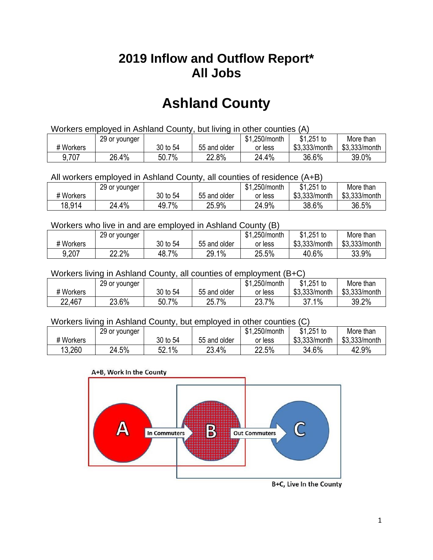## **2019 Inflow and Outflow Report\* All Jobs**

# **Ashland County**

| Workers employed in Ashland County, but living in other counties (A) |                                                            |          |              |         |               |               |  |  |  |
|----------------------------------------------------------------------|------------------------------------------------------------|----------|--------------|---------|---------------|---------------|--|--|--|
|                                                                      | $$1,251$ to<br>\$1.250/month<br>More than<br>29 or younger |          |              |         |               |               |  |  |  |
| # Workers                                                            |                                                            | 30 to 54 | 55 and older | or less | \$3.333/month | \$3,333/month |  |  |  |
| 9,707                                                                | 26.4%                                                      | 50.7%    | 22.8%        | 24.4%   | 36.6%         | 39.0%         |  |  |  |

All workers employed in Ashland County, all counties of residence (A+B)

|           | 29 or younger |            |              | \$1,250/month | $$1,251$ to   | More than     |
|-----------|---------------|------------|--------------|---------------|---------------|---------------|
| # Workers |               | 30 to 54   | 55 and older | or less       | \$3,333/month | \$3,333/month |
| 18,914    | 24.4%         | 7%<br>49.7 | 25.9%        | 24.9%         | 38.6%         | 36.5%         |

#### Workers who live in and are employed in Ashland County (B)

|           | 29 or younger |          |              | \$1,250/month | $$1,251$ to   | More than     |
|-----------|---------------|----------|--------------|---------------|---------------|---------------|
| # Workers |               | 30 to 54 | 55 and older | or less       | \$3,333/month | \$3,333/month |
| 9,207     | 22.2%         | 48.7%    | 29.1%        | 25.5%         | 40.6%         | 33.9%         |

#### Workers living in Ashland County, all counties of employment (B+C)

|           | 29 or younger |          |              | \$1,250/month | \$1,251 to    | More than     |
|-----------|---------------|----------|--------------|---------------|---------------|---------------|
| # Workers |               | 30 to 54 | 55 and older | or less       | \$3,333/month | \$3,333/month |
| 22,467    | 23.6%         | 50.7%    | 25.7%        | 23.7%         | 37.1%         | 39.2%         |

#### Workers living in Ashland County, but employed in other counties (C)

|           | 29 or younger |                           |              | \$1,250/month | $$1,251$ to   | More than     |
|-----------|---------------|---------------------------|--------------|---------------|---------------|---------------|
| # Workers |               | 30 to 54                  | 55 and older | or less       | \$3,333/month | \$3,333/month |
| 13,260    | 24.5%         | $1\%$<br>52. <sup>.</sup> | 23.4%        | 22.5%         | 34.6%         | 42.9%         |

#### A+B, Work In the County



B+C, Live In the County